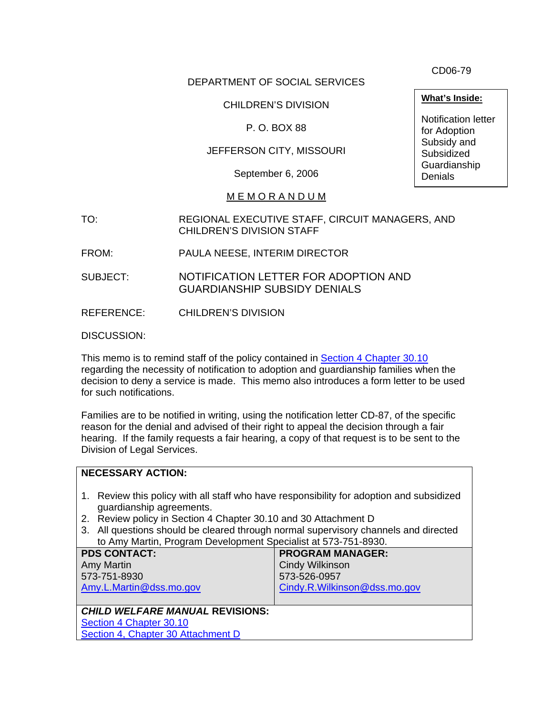DEPARTMENT OF SOCIAL SERVICES

CHILDREN'S DIVISION

P. O. BOX 88

JEFFERSON CITY, MISSOURI

September 6, 2006

## M E M O R A N D U M

- TO: REGIONAL EXECUTIVE STAFF, CIRCUIT MANAGERS, AND CHILDREN'S DIVISION STAFF
- FROM: PAULA NEESE, INTERIM DIRECTOR
- SUBJECT: NOTIFICATION LETTER FOR ADOPTION AND GUARDIANSHIP SUBSIDY DENIALS

REFERENCE: CHILDREN'S DIVISION

DISCUSSION:

This memo is to remind staff of the policy contained in [Section 4 Chapter 30.10](http://www.dss.mo.gov/cd/info/cwmanual/section4/ch30/sec4ch30sub10.htm) regarding the necessity of notification to adoption and guardianship families when the decision to deny a service is made. This memo also introduces a form letter to be used for such notifications.

Families are to be notified in writing, using the notification letter CD-87, of the specific reason for the denial and advised of their right to appeal the decision through a fair hearing. If the family requests a fair hearing, a copy of that request is to be sent to the Division of Legal Services.

| <b>NECESSARY ACTION:</b>                                                                                                |                              |
|-------------------------------------------------------------------------------------------------------------------------|------------------------------|
|                                                                                                                         |                              |
| Review this policy with all staff who have responsibility for adoption and subsidized<br>1.<br>guardianship agreements. |                              |
| Review policy in Section 4 Chapter 30.10 and 30 Attachment D<br>2.                                                      |                              |
| All questions should be cleared through normal supervisory channels and directed<br>3.                                  |                              |
| to Amy Martin, Program Development Specialist at 573-751-8930.                                                          |                              |
| <b>PDS CONTACT:</b>                                                                                                     | <b>PROGRAM MANAGER:</b>      |
| <b>Amy Martin</b>                                                                                                       | <b>Cindy Wilkinson</b>       |
| 573-751-8930                                                                                                            | 573-526-0957                 |
| Amy.L.Martin@dss.mo.gov                                                                                                 | Cindy.R.Wilkinson@dss.mo.gov |
|                                                                                                                         |                              |
| <b>CHILD WELFARE MANUAL REVISIONS:</b>                                                                                  |                              |
| Section 4 Chapter 30.10                                                                                                 |                              |
| Section 4, Chapter 30 Attachment D                                                                                      |                              |
|                                                                                                                         |                              |

CD06-79

**What's Inside:**

Notification letter for Adoption Subsidy and **Subsidized** Guardianship **Denials**